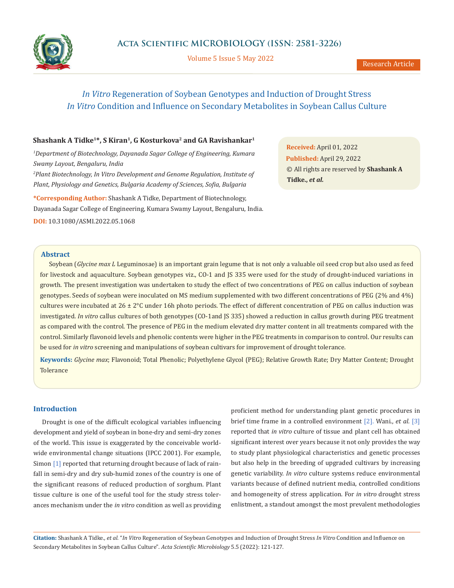

Volume 5 Issue 5 May 2022

# *In Vitro* Regeneration of Soybean Genotypes and Induction of Drought Stress *In Vitro* Condition and Influence on Secondary Metabolites in Soybean Callus Culture

# Shashank A Tidke<sup>1\*</sup>, S Kiran<sup>1</sup>, G Kosturkova<sup>2</sup> and GA Ravishankar<sup>1</sup>

<sup>1</sup>Department of Biotechnology, Dayanada Sagar College of Engineering, Kumara *Swamy Layout, Bengaluru, India 2 Plant Biotechnology, In Vitro Development and Genome Regulation, Institute of* 

*Plant, Physiology and Genetics, Bulgaria Academy of Sciences, Sofia, Bulgaria*

**\*Corresponding Author:** Shashank A Tidke, Department of Biotechnology, Dayanada Sagar College of Engineering, Kumara Swamy Layout, Bengaluru, India. **DOI:** [10.31080/ASMI.2022.05.1068](https://actascientific.com/ASMI/pdf/ASMI-05-1068.pdf)

**Received:** April 01, 2022 **Published:** April 29, 2022 © All rights are reserved by **Shashank A Tidke.,** *et al.*

## **Abstract**

Soybean (*Glycine max L* Leguminosae) is an important grain legume that is not only a valuable oil seed crop but also used as feed for livestock and aquaculture. Soybean genotypes viz., CO-1 and JS 335 were used for the study of drought-induced variations in growth. The present investigation was undertaken to study the effect of two concentrations of PEG on callus induction of soybean genotypes. Seeds of soybean were inoculated on MS medium supplemented with two different concentrations of PEG (2% and 4%) cultures were incubated at 26 ± 2°C under 16h photo periods. The effect of different concentration of PEG on callus induction was investigated. *In vitro* callus cultures of both genotypes (CO-1and JS 335) showed a reduction in callus growth during PEG treatment as compared with the control. The presence of PEG in the medium elevated dry matter content in all treatments compared with the control. Similarly flavonoid levels and phenolic contents were higher in the PEG treatments in comparison to control. Our results can be used for *in vitro* screening and manipulations of soybean cultivars for improvement of drought tolerance.

**Keywords:** *Glycine max*; Flavonoid; Total Phenolic; Polyethylene Glycol (PEG); Relative Growth Rate; Dry Matter Content; Drought Tolerance

# **Introduction**

Drought is one of the difficult ecological variables influencing development and yield of soybean in bone-dry and semi-dry zones of the world. This issue is exaggerated by the conceivable worldwide environmental change situations (IPCC 2001). For example, Simon [1] reported that returning drought because of lack of rainfall in semi-dry and dry sub-humid zones of the country is one of the significant reasons of reduced production of sorghum. Plant tissue culture is one of the useful tool for the study stress tolerances mechanism under the *in vitro* condition as well as providing proficient method for understanding plant genetic procedures in brief time frame in a controlled environment [2]. Wani., *et al.* [3] reported that *in vitro* culture of tissue and plant cell has obtained significant interest over years because it not only provides the way to study plant physiological characteristics and genetic processes but also help in the breeding of upgraded cultivars by increasing genetic variability. *In vitro* culture systems reduce environmental variants because of defined nutrient media, controlled conditions and homogeneity of stress application. For *in vitro* drought stress enlistment, a standout amongst the most prevalent methodologies

**Citation:** Shashank A Tidke*., et al.* "*In Vitro* Regeneration of Soybean Genotypes and Induction of Drought Stress *In Vitro* Condition and Influence on Secondary Metabolites in Soybean Callus Culture". *Acta Scientific Microbiology* 5.5 (2022): 121-127.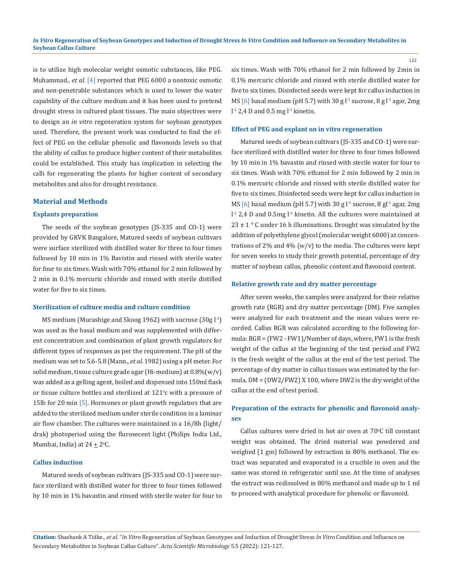is to utilize high molecular weight osmotic substances, like PEG. Muhammad., *et al.* [4] reported that PEG 6000 a nontoxic osmotic and non-penetrable substances which is used to lower the water capability of the culture medium and it has been used to pretend drought stress in cultured plant tissues. The main objectives were to design an *in vitro* regeneration system for soybean genotypes used. Therefore, the present work was conducted to find the effect of PEG on the cellular phenolic and flavonoids levels so that the ability of callus to produce higher content of their metabolites could be established. This study has implication in selecting the calli for regenerating the plants for higher content of secondary metabolites and also for drought resistance.

#### **Material and Methods**

#### **Explants preparation**

The seeds of the soybean genotypes (JS-335 and CO-1) were provided by GKVK Bangalore, Matured seeds of soybean cultivars were surface sterilized with distilled water for three to four times followed by 10 min in 1% Bavistin and rinsed with sterile water for four to six times. Wash with 70% ethanol for 2 min followed by 2 min in 0.1% mercuric chloride and rinsed with sterile distilled water for five to six times.

#### **Sterilization of culture media and culture condition**

MS medium (Murashige and Skoog 1962) with sucrose (30g l<sup>-1</sup>) was used as the basal medium and was supplemented with different concentration and combination of plant growth regulators for different types of responses as per the requirement. The pH of the medium was set to 5.6-5.8 (Mann., *et al.* 1982) using a pH meter. For solid medium, tissue culture grade agar (Hi-medium) at 0.8%(w/v) was added as a gelling agent, boiled and dispensed into 150ml flask or tissue culture bottles and sterilized at  $121^{\circ}$ c with a pressure of 15lb for 20 min [5]. Hormones or plant growth regulators that are added to the sterilized medium under sterile condition in a laminar air flow chamber. The cultures were maintained in a 16/8h (light/ drak) photoperiod using the flurosecent light (Philips India Ltd., Mumbai, India) at 24  $\pm$  2°C.

#### **Callus induction**

Matured seeds of soybean cultivars (JS-335 and CO-1) were surface sterilized with distilled water for three to four times followed by 10 min in 1% bavastin and rinsed with sterile water for four to six times. Wash with 70% ethanol for 2 min followed by 2min in 0.1% mercuric chloride and rinsed with sterile distilled water for five to six times. Disinfected seeds were kept for callus induction in MS [6] basal medium (pH 5.7) with 30 g  $l<sup>1</sup>$  sucrose, 8 g  $l<sup>1</sup>$  agar, 2mg  $l<sup>-1</sup>$  2,4 D and 0.5 mg  $l<sup>-1</sup>$  kinetin.

#### **Effect of PEG and explant on in vitro regeneration**

Matured seeds of soybean cultivars (JS-335 and CO-1) were surface sterilized with distilled water for three to four times followed by 10 min in 1% bavastin and rinsed with sterile water for four to six times. Wash with 70% ethanol for 2 min followed by 2 min in 0.1% mercuric chloride and rinsed with sterile distilled water for five to six times. Disinfected seeds were kept for callus induction in MS [6] basal medium (pH 5.7) with 30 g  $l<sup>-1</sup>$  sucrose, 8 g $l<sup>-1</sup>$  agar, 2mg  $l<sup>-1</sup>$  2,4 D and 0.5mg  $l<sup>-1</sup>$  kinetin. All the cultures were maintained at  $23 \pm 1$  ° C under 16 h illuminations. Drought was simulated by the addition of polyethylene glycol (molecular weight 6000) at concentrations of 2% and 4% ( $w/v$ ) to the media. The cultures were kept for seven weeks to study their growth potential, percentage of dry matter of soybean callus, phenolic content and flavonoid content.

#### **Relative growth rate and dry matter percentage**

After seven weeks, the samples were analyzed for their relative growth rate (RGR) and dry matter percentage (DM). Five samples were analyzed for each treatment and the mean values were recorded. Callus RGR was calculated according to the following formula: RGR = (FW2 - FW1)/Number of days, where, FW1 is the fresh weight of the callus at the beginning of the test period and FW2 is the fresh weight of the callus at the end of the test period. The percentage of dry matter in callus tissues was estimated by the formula, DM = (DW2/FW2) X 100, where DW2 is the dry weight of the callus at the end of test period.

# **Preparation of the extracts for phenolic and flavonoid analyses**

Callus cultures were dried in hot air oven at 70°C till constant weight was obtained. The dried material was powdered and weighed (1 gm) followed by extraction in 80% methanol. The extract was separated and evaporated in a crucible in oven and the same was stored in refrigerator until use. At the time of analyses the extract was redissolved in 80% methanol and made up to 1 ml to proceed with analytical procedure for phenolic or flavonoid.

**Citation:** Shashank A Tidke*., et al.* "*In Vitro* Regeneration of Soybean Genotypes and Induction of Drought Stress *In Vitro* Condition and Influence on Secondary Metabolites in Soybean Callus Culture". *Acta Scientific Microbiology* 5.5 (2022): 121-127.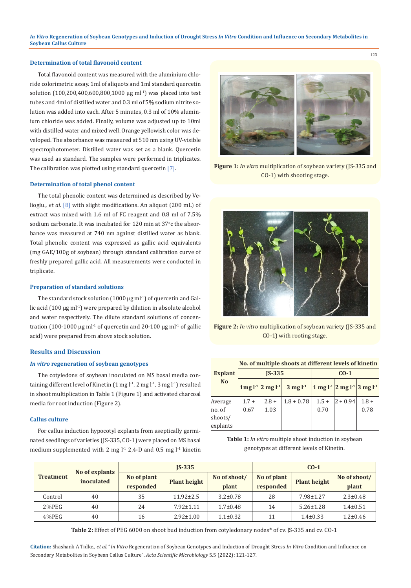*In Vitro* **Regeneration of Soybean Genotypes and Induction of Drought Stress** *In Vitro* **Condition and Influence on Secondary Metabolites in Soybean Callus Culture**

# **Determination of total flavonoid content**

Total flavonoid content was measured with the aluminium chloride colorimetric assay. 1ml of aliquots and 1ml standard quercetin solution (100,200,400,600,800,1000 μg ml<sup>-1</sup>) was placed into test tubes and 4ml of distilled water and 0.3 ml of 5% sodium nitrite solution was added into each. After 5 minutes, 0.3 ml of 10% aluminium chloride was added. Finally, volume was adjusted up to 10ml with distilled water and mixed well. Orange yellowish color was developed. The absorbance was measured at 510 nm using UV-visible spectrophotometer. Distilled water was set as a blank. Quercetin was used as standard. The samples were performed in triplicates. The calibration was plotted using standard quercetin [7].

# **Determination of total phenol content**

The total phenolic content was determined as described by Velioglu., *et al.* [8] with slight modifications. An aliquot (200 mL) of extract was mixed with 1.6 ml of FC reagent and 0.8 ml of 7.5% sodium carbonate. It was incubated for 120 min at 37°c the absorbance was measured at 740 nm against distilled water as blank. Total phenolic content was expressed as gallic acid equivalents (mg GAE/100g of soybean) through standard calibration curve of freshly prepared gallic acid. All measurements were conducted in triplicate.

#### **Preparation of standard solutions**

The standard stock solution  $(1000 \mu g \text{ m} l^{-1})$  of quercetin and Gallic acid  $(100 \mu g \text{ ml}^{-1})$  were prepared by dilution in absolute alcohol and water respectively. The dilute standard solutions of concentration (100-1000 μg ml<sup>-1</sup> of quercetin and 20-100 μg ml<sup>-1</sup> of gallic acid) were prepared from above stock solution.

#### **Results and Discussion**

#### *In vitro* **regeneration of soybean genotypes**

The cotyledons of soybean inoculated on MS basal media containing different level of Kinetin  $(1 \text{ mg } l^{-1}, 2 \text{ mg } l^{-1}, 3 \text{ mg } l^{-1})$  resulted in shoot multiplication in Table 1 (Figure 1) and activated charcoal media for root induction (Figure 2).

#### **Callus culture**

For callus induction hypocotyl explants from aseptically germinated seedlings of varieties (JS-335, CO-1) were placed on MS basal medium supplemented with 2 mg  $l<sup>-1</sup>$  2,4-D and 0.5 mg  $l<sup>-1</sup>$  kinetin



**Figure 1:** *In vitro* multiplication of soybean variety (JS-335 and CO-1) with shooting stage.



**Figure 2:** *In vitro* multiplication of soybean variety (JS-335 and CO-1) with rooting stage.

|                     | No. of multiple shoots at different levels of kinetin |                        |                    |                 |                                                                  |                 |  |
|---------------------|-------------------------------------------------------|------------------------|--------------------|-----------------|------------------------------------------------------------------|-----------------|--|
| <b>Explant</b>      |                                                       | $IS-335$               |                    | $C0-1$          |                                                                  |                 |  |
| <b>No</b>           |                                                       | $1mg l-1   2 mg l-1  $ | $3 \text{ mg} l^1$ |                 | $1$ mg l <sup>-1</sup> 2 mg l <sup>-1</sup> 3 mg l <sup>-1</sup> |                 |  |
| Average<br>no. of   | $1.7 \pm$<br>0.67                                     | $2.8 +$<br>1.03        | $1.8 + 0.78$       | $1.5 +$<br>0.70 | $ 2 + 0.94 $                                                     | $1.8 +$<br>0.78 |  |
| shoots/<br>explants |                                                       |                        |                    |                 |                                                                  |                 |  |

**Table 1:** *In vitro* multiple shoot induction in soybean genotypes at different levels of Kinetin.

|                  |                              | $IS-335$                 |                     |                       | $CO-1$                   |                     |                       |
|------------------|------------------------------|--------------------------|---------------------|-----------------------|--------------------------|---------------------|-----------------------|
| <b>Treatment</b> | No of explants<br>inoculated | No of plant<br>responded | <b>Plant height</b> | No of shoot/<br>plant | No of plant<br>responded | <b>Plant height</b> | No of shoot/<br>plant |
| Control          | 40                           | 35                       | $11.92 \pm 2.5$     | $3.2 \pm 0.78$        | 28                       | $7.98 \pm 1.27$     | $2.3 \pm 0.48$        |
| $2\%$ PEG        | 40                           | 24                       | $7.92 \pm 1.11$     | $1.7 \pm 0.48$        | 14                       | $5.26 \pm 1.28$     | $1.4 \pm 0.51$        |
| 4%PEG            | 40                           | 16                       | $2.92 \pm 1.00$     | $1.1 \pm 0.32$        | 11                       | $1.4 \pm 0.33$      | $1.2 \pm 0.46$        |

**Table 2:** Effect of PEG 6000 on shoot bud induction from cotyledonary nodes\* of cv. JS-335 and cv. CO-1

**Citation:** Shashank A Tidke*., et al.* "*In Vitro* Regeneration of Soybean Genotypes and Induction of Drought Stress *In Vitro* Condition and Influence on Secondary Metabolites in Soybean Callus Culture". *Acta Scientific Microbiology* 5.5 (2022): 121-127.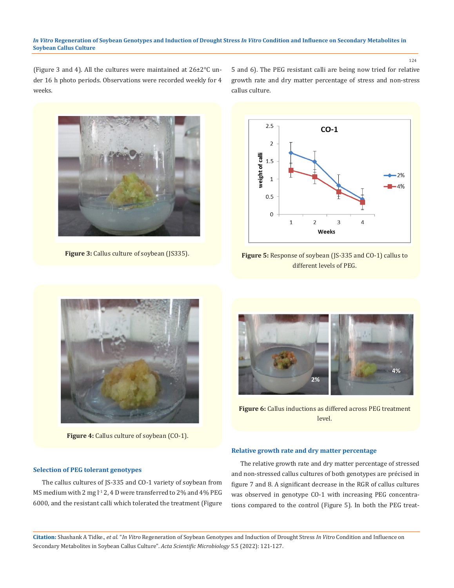#### *In Vitro* **Regeneration of Soybean Genotypes and Induction of Drought Stress** *In Vitro* **Condition and Influence on Secondary Metabolites in Soybean Callus Culture**

124

(Figure 3 and 4). All the cultures were maintained at 26±2°C under 16 h photo periods. Observations were recorded weekly for 4 weeks.

5 and 6). The PEG resistant calli are being now tried for relative growth rate and dry matter percentage of stress and non-stress callus culture.



**Figure 3:** Callus culture of soybean (JS335).



**Figure 5:** Response of soybean (JS-335 and CO-1) callus to different levels of PEG.



Figure 4: Callus culture of soybean (CO-1).

## **Selection of PEG tolerant genotypes**

The callus cultures of JS-335 and CO-1 variety of soybean from MS medium with 2 mg l<sup>-1</sup> 2, 4 D were transferred to 2% and 4% PEG 6000, and the resistant calli which tolerated the treatment (Figure



**Figure 6:** Callus inductions as differed across PEG treatment level.

# **Relative growth rate and dry matter percentage**

The relative growth rate and dry matter percentage of stressed and non-stressed callus cultures of both genotypes are précised in figure 7 and 8. A significant decrease in the RGR of callus cultures was observed in genotype CO-1 with increasing PEG concentrations compared to the control (Figure 5). In both the PEG treat-

**Citation:** Shashank A Tidke*., et al.* "*In Vitro* Regeneration of Soybean Genotypes and Induction of Drought Stress *In Vitro* Condition and Influence on Secondary Metabolites in Soybean Callus Culture". *Acta Scientific Microbiology* 5.5 (2022): 121-127.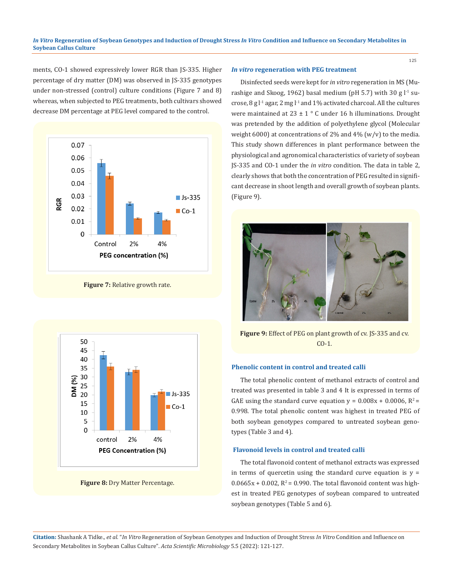ments, CO-1 showed expressively lower RGR than JS-335. Higher percentage of dry matter (DM) was observed in JS-335 genotypes under non-stressed (control) culture conditions (Figure 7 and 8) whereas, when subjected to PEG treatments, both cultivars showed decrease DM percentage at PEG level compared to the control.



**Figure 7:** Relative growth rate.



**Figure 8:** Dry Matter Percentage.

#### *In vitro* **regeneration with PEG treatment**

Disinfected seeds were kept for *in vitro* regeneration in MS (Murashige and Skoog, 1962) basal medium (pH 5.7) with 30 g  $l<sup>-1</sup>$  sucrose, 8 g  $l<sup>-1</sup>$  agar, 2 mg  $l<sup>-1</sup>$  and 1% activated charcoal. All the cultures were maintained at  $23 \pm 1$  ° C under 16 h illuminations. Drought was pretended by the addition of polyethylene glycol (Molecular weight 6000) at concentrations of 2% and 4% (w/v) to the media. This study shown differences in plant performance between the physiological and agronomical characteristics of variety of soybean JS-335 and CO-1 under the *in vitro* condition. The data in table 2, clearly shows that both the concentration of PEG resulted in significant decrease in shoot length and overall growth of soybean plants. (Figure 9).



**Figure 9:** Effect of PEG on plant growth of cv. JS-335 and cv. CO-1.

### **Phenolic content in control and treated calli**

The total phenolic content of methanol extracts of control and treated was presented in table 3 and 4 It is expressed in terms of GAE using the standard curve equation  $y = 0.008x + 0.0006$ ,  $R^2 =$ 0.998. The total phenolic content was highest in treated PEG of both soybean genotypes compared to untreated soybean genotypes (Table 3 and 4).

#### **Flavonoid levels in control and treated calli**

The total flavonoid content of methanol extracts was expressed in terms of quercetin using the standard curve equation is  $y =$  $0.0665x + 0.002$ ,  $R^2 = 0.990$ . The total flavonoid content was highest in treated PEG genotypes of soybean compared to untreated soybean genotypes (Table 5 and 6).

**Citation:** Shashank A Tidke*., et al.* "*In Vitro* Regeneration of Soybean Genotypes and Induction of Drought Stress *In Vitro* Condition and Influence on Secondary Metabolites in Soybean Callus Culture". *Acta Scientific Microbiology* 5.5 (2022): 121-127.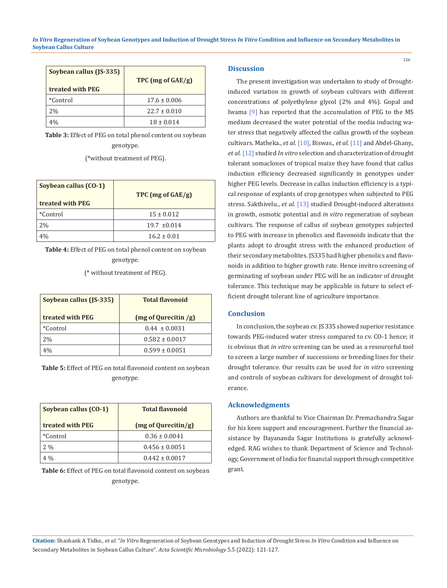| Soybean callus (JS-335)<br>treated with PEG | TPC $(mg \text{ of } GAE/g)$ |
|---------------------------------------------|------------------------------|
| *Control                                    | $17.6 \pm 0.006$             |
| 2%                                          | $22.7 \pm 0.010$             |
|                                             | $18 \pm 0.014$               |

**Table 3:** Effect of PEG on total phenol content on soybean genotype.

(\*without treatment of PEG).

| Soybean callus (CO-1)<br>treated with PEG | TPC (mg of GAE/g) |
|-------------------------------------------|-------------------|
| *Control                                  | $15 \pm 0.012$    |
| 2%                                        | $19.7 \pm 0.014$  |
|                                           | $16.2 \pm 0.01$   |

**Table 4:** Effect of PEG on total phenol content on soybean genotype.

(\* without treatment of PEG).

| Soybean callus (JS-335) | <b>Total flavonoid</b>         |
|-------------------------|--------------------------------|
| treated with PEG        | $(mg \text{ of Qurecitin } g)$ |
| *Control                | $0.44 \pm 0.0031$              |
| 2%                      | $0.582 \pm 0.0017$             |
| 4%                      | $0.599 \pm 0.0051$             |

**Table 5:** Effect of PEG on total flavonoid content on soybean genotype.

| Soybean callus (CO-1) | <b>Total flavonoid</b>        |
|-----------------------|-------------------------------|
| treated with PEG      | $(mg \text{ of Qurecitin/g})$ |
| *Control              | $0.36 \pm 0.0041$             |
| $2\%$                 | $0.456 \pm 0.0051$            |
| $4\%$                 | $0.442 \pm 0.0017$            |

**Table 6:** Effect of PEG on total flavonoid content on soybean genotype.

# **Discussion**

The present investigation was undertaken to study of Droughtinduced variation in growth of soybean cultivars with different concentrations of polyethylene glycol (2% and 4%). Gopal and Iwama [9] has reported that the accumulation of PEG to the MS medium decreased the water potential of the media inducing water stress that negatively affected the callus growth of the soybean cultivars. Matheka., *et al.* [10], Biswas., *et al.* [11] and Abdel-Ghany., *et al.* [12] studied *In vitro* selection and characterization of drought tolerant somaclones of tropical maize they have found that callus induction efficiency decreased significantly in genotypes under higher PEG levels. Decrease in callus induction efficiency is a typical response of explants of crop genotypes when subjected to PEG stress. Sakthivelu., *et al.* [13] studied Drought-induced alterations in growth, osmotic potential and *in vitro* regeneration of soybean cultivars. The response of callus of soybean genotypes subjected to PEG with increase in phenolics and flavonoids indicate that the plants adopt to drought stress with the enhanced production of their secondary metabolites. JS335 had higher phenolics and flavonoids in addition to higher growth rate. Hence invitro screening of germinating of soybean under PEG will be an indicator of drought tolerance. This technique may be applicable in future to select efficient drought tolerant line of agriculture importance.

# **Conclusion**

In conclusion, the soybean cv. JS 335 showed superior resistance towards PEG-induced water stress compared to cv. CO-1 hence; it is obvious that *in vitro* screening can be used as a resourceful tool to screen a large number of successions or breeding lines for their drought tolerance. Our results can be used for *in vitro* screening and controls of soybean cultivars for development of drought tolerance.

#### **Acknowledgments**

Authors are thankful to Vice Chairman Dr. Premachandra Sagar for his keen support and encouragement. Further the financial assistance by Dayananda Sagar Institutions is gratefully acknowledged. RAG wishes to thank Department of Science and Technology, Government of India for financial support through competitive grant.

**Citation:** Shashank A Tidke*., et al.* "*In Vitro* Regeneration of Soybean Genotypes and Induction of Drought Stress *In Vitro* Condition and Influence on Secondary Metabolites in Soybean Callus Culture". *Acta Scientific Microbiology* 5.5 (2022): 121-127.